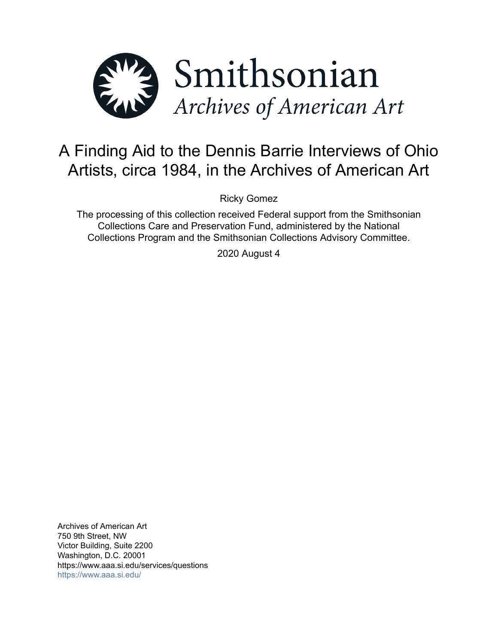

# A Finding Aid to the Dennis Barrie Interviews of Ohio Artists, circa 1984, in the Archives of American Art

Ricky Gomez

The processing of this collection received Federal support from the Smithsonian Collections Care and Preservation Fund, administered by the National Collections Program and the Smithsonian Collections Advisory Committee.

2020 August 4

Archives of American Art 750 9th Street, NW Victor Building, Suite 2200 Washington, D.C. 20001 https://www.aaa.si.edu/services/questions <https://www.aaa.si.edu/>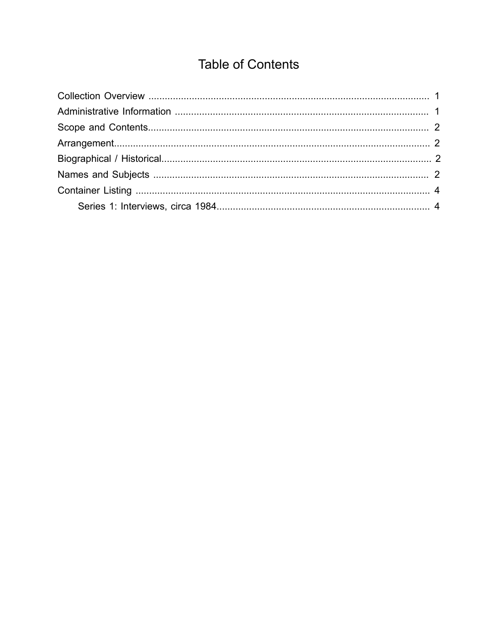## **Table of Contents**

<span id="page-1-0"></span>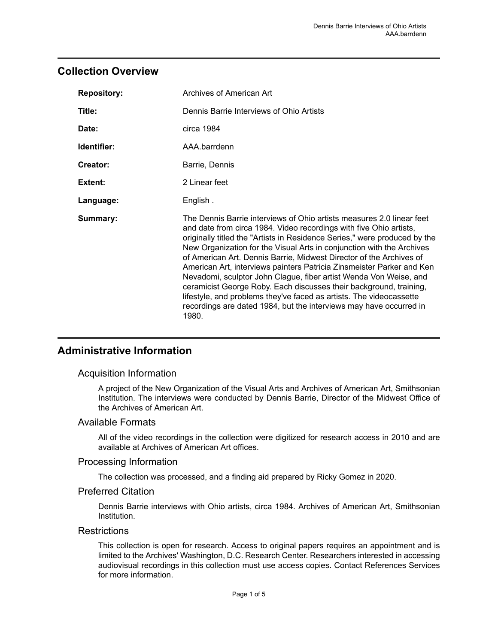## <span id="page-2-0"></span>**Collection Overview**

| <b>Repository:</b> | Archives of American Art                                                                                                                                                                                                                                                                                                                                                                                                                                                                                                                                                                                                                                                                                                                           |  |  |
|--------------------|----------------------------------------------------------------------------------------------------------------------------------------------------------------------------------------------------------------------------------------------------------------------------------------------------------------------------------------------------------------------------------------------------------------------------------------------------------------------------------------------------------------------------------------------------------------------------------------------------------------------------------------------------------------------------------------------------------------------------------------------------|--|--|
| Title:             | Dennis Barrie Interviews of Ohio Artists                                                                                                                                                                                                                                                                                                                                                                                                                                                                                                                                                                                                                                                                                                           |  |  |
| Date:              | circa 1984                                                                                                                                                                                                                                                                                                                                                                                                                                                                                                                                                                                                                                                                                                                                         |  |  |
| Identifier:        | AAA.barrdenn                                                                                                                                                                                                                                                                                                                                                                                                                                                                                                                                                                                                                                                                                                                                       |  |  |
| Creator:           | Barrie, Dennis                                                                                                                                                                                                                                                                                                                                                                                                                                                                                                                                                                                                                                                                                                                                     |  |  |
| Extent:            | 2 Linear feet                                                                                                                                                                                                                                                                                                                                                                                                                                                                                                                                                                                                                                                                                                                                      |  |  |
| Language:          | English.                                                                                                                                                                                                                                                                                                                                                                                                                                                                                                                                                                                                                                                                                                                                           |  |  |
| Summary:           | The Dennis Barrie interviews of Ohio artists measures 2.0 linear feet<br>and date from circa 1984. Video recordings with five Ohio artists,<br>originally titled the "Artists in Residence Series," were produced by the<br>New Organization for the Visual Arts in conjunction with the Archives<br>of American Art. Dennis Barrie, Midwest Director of the Archives of<br>American Art, interviews painters Patricia Zinsmeister Parker and Ken<br>Nevadomi, sculptor John Clague, fiber artist Wenda Von Weise, and<br>ceramicist George Roby. Each discusses their background, training,<br>lifestyle, and problems they've faced as artists. The videocassette<br>recordings are dated 1984, but the interviews may have occurred in<br>1980. |  |  |

## <span id="page-2-1"></span>**Administrative Information**

#### Acquisition Information

A project of the New Organization of the Visual Arts and Archives of American Art, Smithsonian Institution. The interviews were conducted by Dennis Barrie, Director of the Midwest Office of the Archives of American Art.

#### Available Formats

All of the video recordings in the collection were digitized for research access in 2010 and are available at Archives of American Art offices.

#### Processing Information

The collection was processed, and a finding aid prepared by Ricky Gomez in 2020.

#### Preferred Citation

Dennis Barrie interviews with Ohio artists, circa 1984. Archives of American Art, Smithsonian Institution.

#### **Restrictions**

This collection is open for research. Access to original papers requires an appointment and is limited to the Archives' Washington, D.C. Research Center. Researchers interested in accessing audiovisual recordings in this collection must use access copies. Contact References Services for more information.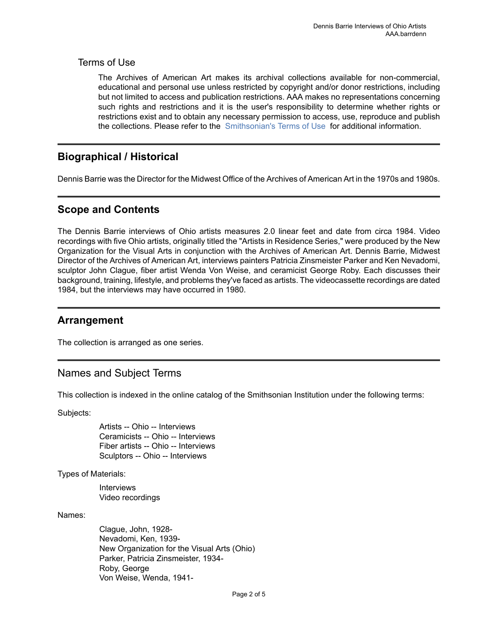#### Terms of Use

The Archives of American Art makes its archival collections available for non-commercial, educational and personal use unless restricted by copyright and/or donor restrictions, including but not limited to access and publication restrictions. AAA makes no representations concerning such rights and restrictions and it is the user's responsibility to determine whether rights or restrictions exist and to obtain any necessary permission to access, use, reproduce and publish the collections. Please refer to the [Smithsonian's](https://www.si.edu/termsofuse) Terms of Use for additional information.

## <span id="page-3-2"></span>**Biographical / Historical**

Dennis Barrie was the Director for the Midwest Office of the Archives of American Art in the 1970s and 1980s.

## <span id="page-3-0"></span>**Scope and Contents**

The Dennis Barrie interviews of Ohio artists measures 2.0 linear feet and date from circa 1984. Video recordings with five Ohio artists, originally titled the "Artists in Residence Series," were produced by the New Organization for the Visual Arts in conjunction with the Archives of American Art. Dennis Barrie, Midwest Director of the Archives of American Art, interviews painters Patricia Zinsmeister Parker and Ken Nevadomi, sculptor John Clague, fiber artist Wenda Von Weise, and ceramicist George Roby. Each discusses their background, training, lifestyle, and problems they've faced as artists. The videocassette recordings are dated 1984, but the interviews may have occurred in 1980.

## <span id="page-3-1"></span>**Arrangement**

The collection is arranged as one series.

## <span id="page-3-3"></span>Names and Subject Terms

This collection is indexed in the online catalog of the Smithsonian Institution under the following terms:

Subjects:

Artists -- Ohio -- Interviews Ceramicists -- Ohio -- Interviews Fiber artists -- Ohio -- Interviews Sculptors -- Ohio -- Interviews

Types of Materials:

Interviews Video recordings

Names:

Clague, John, 1928- Nevadomi, Ken, 1939- New Organization for the Visual Arts (Ohio) Parker, Patricia Zinsmeister, 1934- Roby, George Von Weise, Wenda, 1941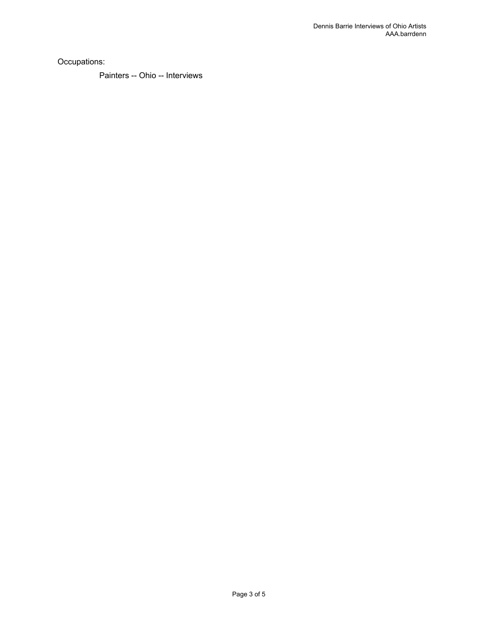Occupations:

Painters -- Ohio -- Interviews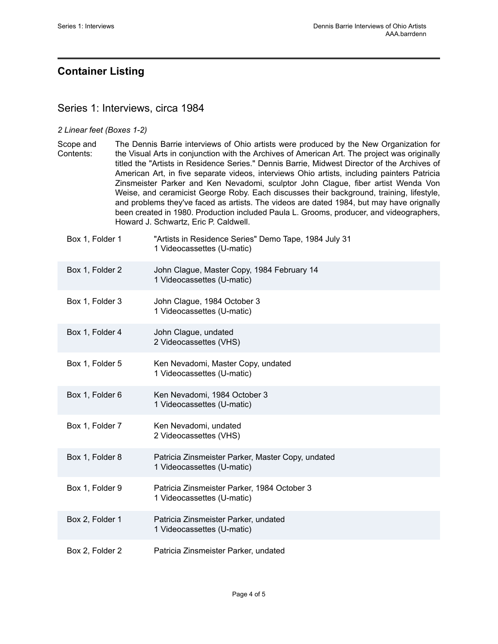## <span id="page-5-0"></span>**Container Listing**

## <span id="page-5-1"></span>Series 1: Interviews, circa 1984

#### *2 Linear feet (Boxes 1-2)*

Scope and Contents: The Dennis Barrie interviews of Ohio artists were produced by the New Organization for the Visual Arts in conjunction with the Archives of American Art. The project was originally titled the "Artists in Residence Series." Dennis Barrie, Midwest Director of the Archives of American Art, in five separate videos, interviews Ohio artists, including painters Patricia Zinsmeister Parker and Ken Nevadomi, sculptor John Clague, fiber artist Wenda Von Weise, and ceramicist George Roby. Each discusses their background, training, lifestyle, and problems they've faced as artists. The videos are dated 1984, but may have orignally been created in 1980. Production included Paula L. Grooms, producer, and videographers, Howard J. Schwartz, Eric P. Caldwell.

| Box 1, Folder 1 | "Artists in Residence Series" Demo Tape, 1984 July 31<br>1 Videocassettes (U-matic) |
|-----------------|-------------------------------------------------------------------------------------|
| Box 1, Folder 2 | John Clague, Master Copy, 1984 February 14<br>1 Videocassettes (U-matic)            |
| Box 1, Folder 3 | John Clague, 1984 October 3<br>1 Videocassettes (U-matic)                           |
| Box 1, Folder 4 | John Clague, undated<br>2 Videocassettes (VHS)                                      |
| Box 1, Folder 5 | Ken Nevadomi, Master Copy, undated<br>1 Videocassettes (U-matic)                    |
| Box 1, Folder 6 | Ken Nevadomi, 1984 October 3<br>1 Videocassettes (U-matic)                          |
| Box 1, Folder 7 | Ken Nevadomi, undated<br>2 Videocassettes (VHS)                                     |
| Box 1, Folder 8 | Patricia Zinsmeister Parker, Master Copy, undated<br>1 Videocassettes (U-matic)     |
| Box 1, Folder 9 | Patricia Zinsmeister Parker, 1984 October 3<br>1 Videocassettes (U-matic)           |
| Box 2, Folder 1 | Patricia Zinsmeister Parker, undated<br>1 Videocassettes (U-matic)                  |
| Box 2, Folder 2 | Patricia Zinsmeister Parker, undated                                                |